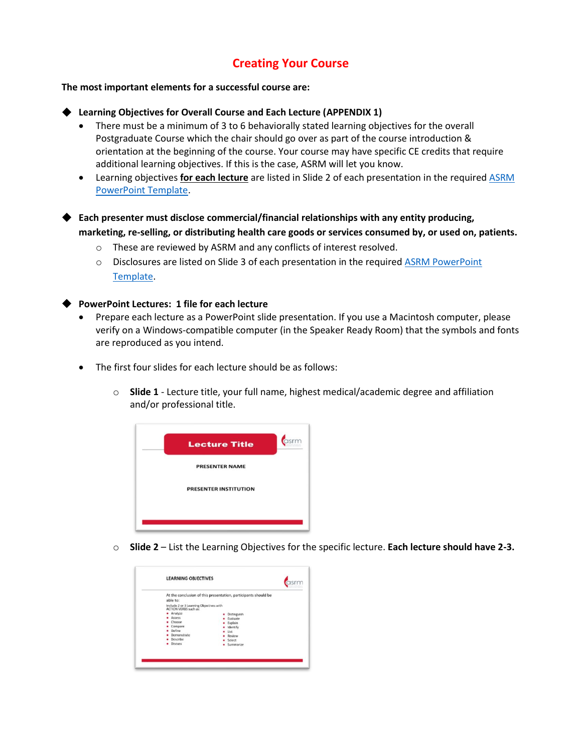### **Creating Your Course**

**The most important elements for a successful course are:**

**Learning Objectives for Overall Course and Each Lecture (APPENDIX 1)** 

- There must be a minimum of 3 to 6 behaviorally stated learning objectives for the overall Postgraduate Course which the chair should go over as part of the course introduction & orientation at the beginning of the course. Your course may have specific CE credits that require additional learning objectives. If this is the case, ASRM will let you know.
- Learning objectives **for each lecture** are listed in Slide 2 of each presentation in the require[d ASRM](https://www.asrm.org/globalassets/asrm/asrm-content/events/presenters/asrm_powerpoint_template.pptx)  [PowerPoint Template.](https://www.asrm.org/globalassets/asrm/asrm-content/events/presenters/asrm_powerpoint_template.pptx)

◆ **Each presenter must disclose commercial/financial relationships with any entity producing, marketing, re-selling, or distributing health care goods or services consumed by, or used on, patients.**

- o These are reviewed by ASRM and any conflicts of interest resolved.
- o Disclosures are listed on Slide 3 of each presentation in the require[d ASRM PowerPoint](https://www.asrm.org/globalassets/asrm/asrm-content/events/presenters/asrm_powerpoint_template.pptx)  [Template.](https://www.asrm.org/globalassets/asrm/asrm-content/events/presenters/asrm_powerpoint_template.pptx)

#### **PowerPoint Lectures: 1 file for each lecture**

- Prepare each lecture as a PowerPoint slide presentation. If you use a Macintosh computer, please verify on a Windows-compatible computer (in the Speaker Ready Room) that the symbols and fonts are reproduced as you intend.
- The first four slides for each lecture should be as follows:
	- o **Slide 1** Lecture title, your full name, highest medical/academic degree and affiliation and/or professional title.



o **Slide 2** – List the Learning Objectives for the specific lecture. **Each lecture should have 2-3.**

|                                                                  | At the conclusion of this presentation, participants should be |
|------------------------------------------------------------------|----------------------------------------------------------------|
| able to:                                                         |                                                                |
| Include 2 or 3 Learning Objectives with<br>ACTION VERBS such as: |                                                                |
| Analyze                                                          | Distinguish<br>٠                                               |
| Assess                                                           | Evaluate                                                       |
| Choose<br>Compare                                                | Explain                                                        |
| Define                                                           | Identify<br>List                                               |
| Demonstrate                                                      | Review                                                         |
| Describe                                                         | Select                                                         |
| <b>Discuss</b>                                                   | · Summarize                                                    |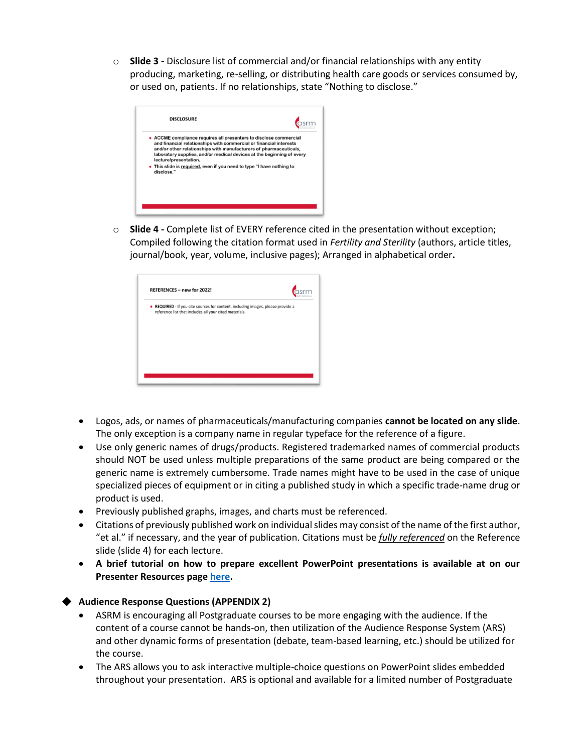o **Slide 3 -** Disclosure list of commercial and/or financial relationships with any entity producing, marketing, re-selling, or distributing health care goods or services consumed by, or used on, patients. If no relationships, state "Nothing to disclose."

| • ACCME compliance requires all presenters to disclose commercial<br>and financial relationships with commercial or financial interests<br>and/or other relationships with manufacturers of pharmaceuticals.<br>laboratory supplies, and/or medical devices at the beginning of every<br>lecture/presentation. |
|----------------------------------------------------------------------------------------------------------------------------------------------------------------------------------------------------------------------------------------------------------------------------------------------------------------|
| • This slide is required, even if you need to type "I have nothing to<br>disclose."                                                                                                                                                                                                                            |

o **Slide 4 -** Complete list of EVERY reference cited in the presentation without exception; Compiled following the citation format used in *Fertility and Sterility* (authors, article titles, journal/book, year, volume, inclusive pages); Arranged in alphabetical order**.**

|  | reference list that includes all your cited materials. | • REQUIRED - If you cite sources for content, including images, please provide a |
|--|--------------------------------------------------------|----------------------------------------------------------------------------------|

- Logos, ads, or names of pharmaceuticals/manufacturing companies **cannot be located on any slide**. The only exception is a company name in regular typeface for the reference of a figure.
- Use only generic names of drugs/products. Registered trademarked names of commercial products should NOT be used unless multiple preparations of the same product are being compared or the generic name is extremely cumbersome. Trade names might have to be used in the case of unique specialized pieces of equipment or in citing a published study in which a specific trade-name drug or product is used.
- Previously published graphs, images, and charts must be referenced.
- Citations of previously published work on individual slides may consist of the name of the first author, "et al." if necessary, and the year of publication. Citations must be *fully referenced* on the Reference slide (slide 4) for each lecture.
- **A brief tutorial on how to prepare excellent PowerPoint presentations is available at on our Presenter Resources page [here.](https://asrmcongress.org/presenters/)**

### ◆ **Audience Response Questions (APPENDIX 2)**

- ASRM is encouraging all Postgraduate courses to be more engaging with the audience. If the content of a course cannot be hands-on, then utilization of the Audience Response System (ARS) and other dynamic forms of presentation (debate, team-based learning, etc.) should be utilized for the course.
- The ARS allows you to ask interactive multiple-choice questions on PowerPoint slides embedded throughout your presentation. ARS is optional and available for a limited number of Postgraduate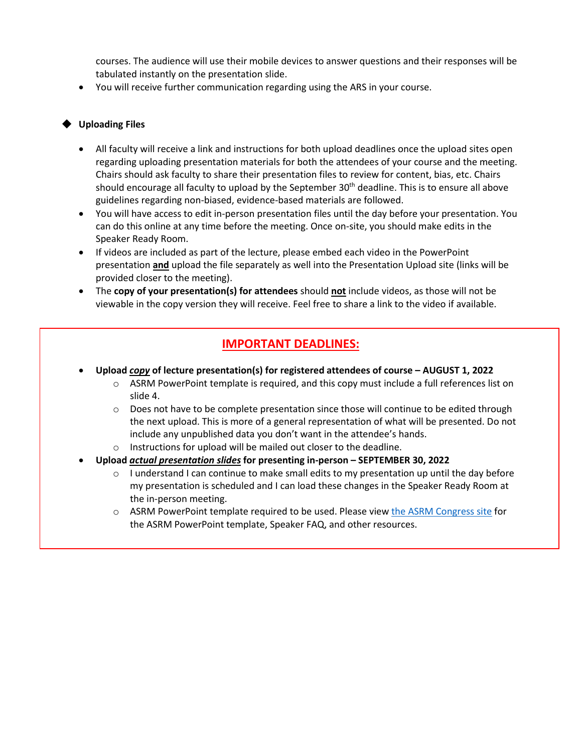courses. The audience will use their mobile devices to answer questions and their responses will be tabulated instantly on the presentation slide.

• You will receive further communication regarding using the ARS in your course.

### **Uploading Files**

- All faculty will receive a link and instructions for both upload deadlines once the upload sites open regarding uploading presentation materials for both the attendees of your course and the meeting. Chairs should ask faculty to share their presentation files to review for content, bias, etc. Chairs should encourage all faculty to upload by the September  $30<sup>th</sup>$  deadline. This is to ensure all above guidelines regarding non-biased, evidence-based materials are followed.
- You will have access to edit in-person presentation files until the day before your presentation. You can do this online at any time before the meeting. Once on-site, you should make edits in the Speaker Ready Room.
- If videos are included as part of the lecture, please embed each video in the PowerPoint presentation **and** upload the file separately as well into the Presentation Upload site (links will be provided closer to the meeting).
- The **copy of your presentation(s) for attendees** should **not** include videos, as those will not be viewable in the copy version they will receive. Feel free to share a link to the video if available.

### **IMPORTANT DEADLINES:**

- **Upload** *copy* **of lecture presentation(s) for registered attendees of course – AUGUST 1, 2022**
	- $\circ$  ASRM PowerPoint template is required, and this copy must include a full references list on slide 4.
	- $\circ$  Does not have to be complete presentation since those will continue to be edited through the next upload. This is more of a general representation of what will be presented. Do not include any unpublished data you don't want in the attendee's hands.
	- o Instructions for upload will be mailed out closer to the deadline.
- **Upload** *actual presentation slides* **for presenting in-person – SEPTEMBER 30, 2022**
	- $\circ$  I understand I can continue to make small edits to my presentation up until the day before my presentation is scheduled and I can load these changes in the Speaker Ready Room at the in-person meeting.
	- $\circ$  ASRM PowerPoint template required to be used. Please vie[w the ASRM Congress site](https://asrmcongress.org/presenters/#Congress) for the ASRM PowerPoint template, Speaker FAQ, and other resources.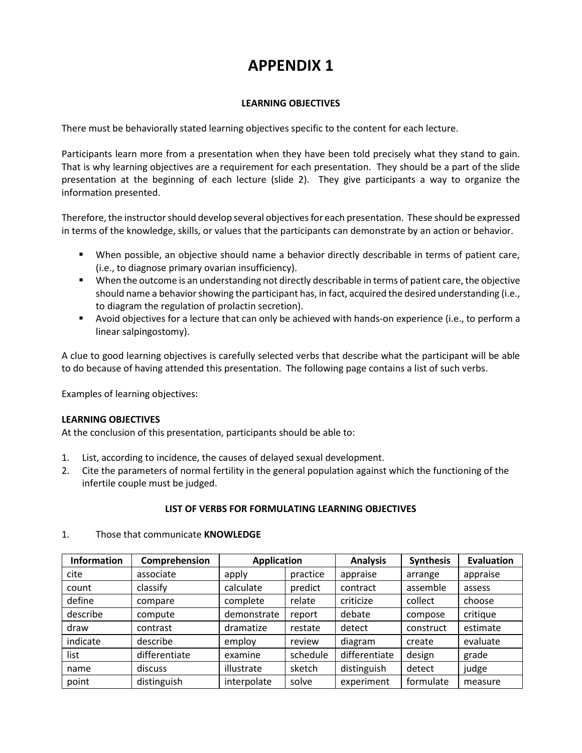## **APPENDIX 1**

### **LEARNING OBJECTIVES**

There must be behaviorally stated learning objectives specific to the content for each lecture.

Participants learn more from a presentation when they have been told precisely what they stand to gain. That is why learning objectives are a requirement for each presentation. They should be a part of the slide presentation at the beginning of each lecture (slide 2). They give participants a way to organize the information presented.

Therefore, the instructor should develop several objectives for each presentation. These should be expressed in terms of the knowledge, skills, or values that the participants can demonstrate by an action or behavior.

- When possible, an objective should name a behavior directly describable in terms of patient care, (i.e., to diagnose primary ovarian insufficiency).
- When the outcome is an understanding not directly describable in terms of patient care, the objective should name a behavior showing the participant has, in fact, acquired the desired understanding (i.e., to diagram the regulation of prolactin secretion).
- Avoid objectives for a lecture that can only be achieved with hands-on experience (i.e., to perform a linear salpingostomy).

A clue to good learning objectives is carefully selected verbs that describe what the participant will be able to do because of having attended this presentation. The following page contains a list of such verbs.

Examples of learning objectives:

### **LEARNING OBJECTIVES**

At the conclusion of this presentation, participants should be able to:

- 1. List, according to incidence, the causes of delayed sexual development.
- 2. Cite the parameters of normal fertility in the general population against which the functioning of the infertile couple must be judged.

### **LIST OF VERBS FOR FORMULATING LEARNING OBJECTIVES**

| <b>Information</b> | Comprehension | <b>Application</b> |          | <b>Analysis</b> | <b>Synthesis</b> | <b>Evaluation</b> |
|--------------------|---------------|--------------------|----------|-----------------|------------------|-------------------|
| cite               | associate     | apply              | practice | appraise        | arrange          | appraise          |
| count              | classify      | calculate          | predict  | contract        | assemble         | assess            |
| define             | compare       | complete           | relate   | criticize       | collect          | choose            |
| describe           | compute       | demonstrate        | report   | debate          | compose          | critique          |
| draw               | contrast      | dramatize          | restate  | detect          | construct        | estimate          |
| indicate           | describe      | employ             | review   | diagram         | create           | evaluate          |
| list               | differentiate | examine            | schedule | differentiate   | design           | grade             |
| name               | discuss       | illustrate         | sketch   | distinguish     | detect           | judge             |
| point              | distinguish   | interpolate        | solve    | experiment      | formulate        | measure           |

#### 1. Those that communicate **KNOWLEDGE**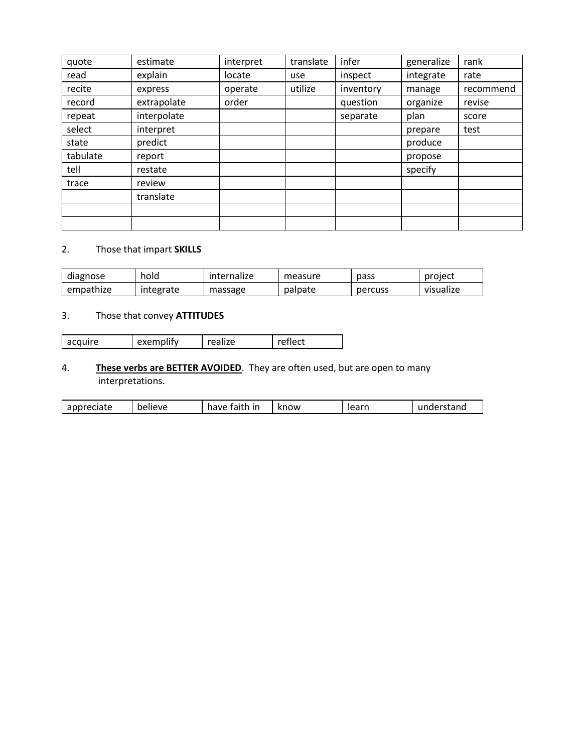| quote    | estimate    | interpret | translate | infer     | generalize | rank      |
|----------|-------------|-----------|-----------|-----------|------------|-----------|
| read     | explain     | locate    | use       | inspect   | integrate  | rate      |
| recite   | express     | operate   | utilize   | inventory | manage     | recommend |
| record   | extrapolate | order     |           | question  | organize   | revise    |
| repeat   | interpolate |           |           | separate  | plan       | score     |
| select   | interpret   |           |           |           | prepare    | test      |
| state    | predict     |           |           |           | produce    |           |
| tabulate | report      |           |           |           | propose    |           |
| tell     | restate     |           |           |           | specify    |           |
| trace    | review      |           |           |           |            |           |
|          | translate   |           |           |           |            |           |
|          |             |           |           |           |            |           |
|          |             |           |           |           |            |           |

### 2. Those that impart **SKILLS**

| diagnose  | hold      | internalize | measure | pass    | project   |
|-----------|-----------|-------------|---------|---------|-----------|
| empathize | integrate | massage     | palpate | percuss | visualize |

### 3. Those that convey **ATTITUDES**

| acquire | exemplify | realize | reflect |
|---------|-----------|---------|---------|
|---------|-----------|---------|---------|

### 4. **These verbs are BETTER AVOIDED**. They are often used, but are open to many interpretations.

| ,<br>$\sim$<br>faith<br>learn<br>have<br>know<br>$\overline{\phantom{a}}$<br>ın<br>believe<br>eciate<br>ranu<br>. . |
|---------------------------------------------------------------------------------------------------------------------|
|---------------------------------------------------------------------------------------------------------------------|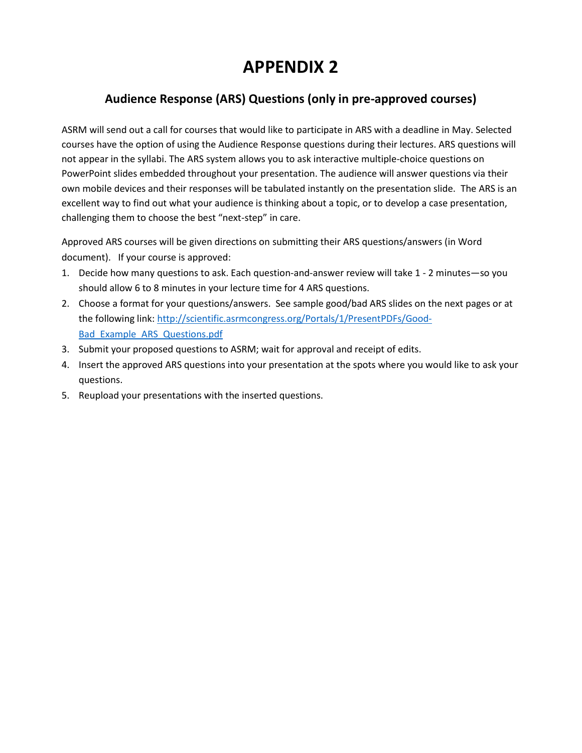# **APPENDIX 2**

### **Audience Response (ARS) Questions (only in pre-approved courses)**

ASRM will send out a call for courses that would like to participate in ARS with a deadline in May. Selected courses have the option of using the Audience Response questions during their lectures. ARS questions will not appear in the syllabi. The ARS system allows you to ask interactive multiple-choice questions on PowerPoint slides embedded throughout your presentation. The audience will answer questions via their own mobile devices and their responses will be tabulated instantly on the presentation slide. The ARS is an excellent way to find out what your audience is thinking about a topic, or to develop a case presentation, challenging them to choose the best "next-step" in care.

Approved ARS courses will be given directions on submitting their ARS questions/answers (in Word document). If your course is approved:

- 1. Decide how many questions to ask. Each question-and-answer review will take 1 2 minutes—so you should allow 6 to 8 minutes in your lecture time for 4 ARS questions.
- 2. Choose a format for your questions/answers. See sample good/bad ARS slides on the next pages or at the following link: [http://scientific.asrmcongress.org/Portals/1/PresentPDFs/Good-](http://scientific.asrmcongress.org/Portals/1/PresentPDFs/Good-Bad_Example_ARS_Questions.pdf)[Bad\\_Example\\_ARS\\_Questions.pdf](http://scientific.asrmcongress.org/Portals/1/PresentPDFs/Good-Bad_Example_ARS_Questions.pdf)
- 3. Submit your proposed questions to ASRM; wait for approval and receipt of edits.
- 4. Insert the approved ARS questions into your presentation at the spots where you would like to ask your questions.
- 5. Reupload your presentations with the inserted questions.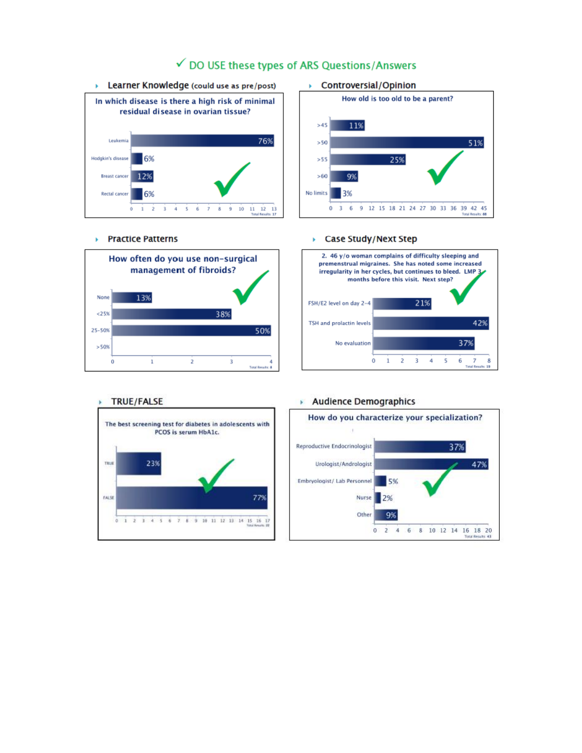

## √ DO USE these types of ARS Questions/Answers

#### ▶ Controversial/Opinion



#### ▶ Practice Patterns



#### Case Study/Next Step k.





#### Audience Demographics